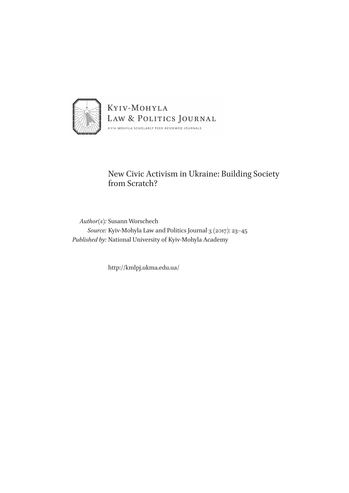

## New Civic Activism in Ukraine: Building Society from Scratch?

*Author(s):* Susann Worschech *Source:* Kyiv-Mohyla Law and Politics Journal 3 (2017): 23–45 *Published by:* National University of Kyiv-Mohyla Academy

http://kmlpj.ukma.edu.ua/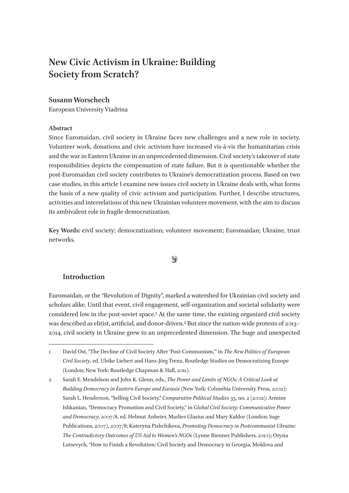# **New Civic Activism in Ukraine: Building Society from Scratch?**

## **Susann Worschech**

European University Viadrina

## **Abstract**

Since Euromaidan, civil society in Ukraine faces new challenges and a new role in society. Volunteer work, donations and civic activism have increased vis-à-vis the humanitarian crisis and the war in Eastern Ukraine in an unprecedented dimension. Civil society's takeover of state responsibilities depicts the compensation of state failure. But it is questionable whether the post-Euromaidan civil society contributes to Ukraine's democratization process. Based on two case studies, in this article I examine new issues civil society in Ukraine deals with, what forms the basis of a new quality of civic activism and participation. Further, I describe structures, activities and interrelations of this new Ukrainian volunteer movement, with the aim to discuss its ambivalent role in fragile democratization.

**Key Words: c**ivil society; democratization; volunteer movement; Euromaidan; Ukraine, trust networks.

## $\circledast$

## **Introduction**

Euromaidan, or the "Revolution of Dignity", marked a watershed for Ukrainian civil society and scholars alike. Until that event, civil engagement, self-organization and societal solidarity were considered low in the post-soviet space.1 At the same time, the existing organized civil society was described as elitist, artificial, and donor-driven.<sup>2</sup> But since the nation-wide protests of 2013– 2014, civil society in Ukraine grew to an unprecedented dimension. The huge and unexpected

<sup>1</sup> David Ost, "The Decline of Civil Society After 'Post-Communism,'" in *The New Politics of European Civil Society*, ed. Ulrike Liebert and Hans-Jörg Trenz, Routledge Studies on Democratizing Europe (London; New York: Routledge Chapman & Hall, 2011).

<sup>2</sup> Sarah E. Mendelson and John K. Glenn, eds., *The Power and Limits of NGOs: A Critical Look at Building Democracy in Eastern Europe and Eurasia* (New York: Columbia University Press, 2002); Sarah L. Henderson, "Selling Civil Society," *Comparative Political Studies* 35, no. 2 (2002); Armine Ishkanian, "Democracy Promotion and Civil Society," in *Global Civil Society: Communicative Power and Democracy*, 2007/8, ed. Helmut Anheier, Marlies Glasius and Mary Kaldor (London: Sage Publications, 2007), 2007/8; Kateryna Pishchikova, *Promoting Democracy in Postcommunist Ukraine: The Contradictory Outcomes of US Aid to Women's NGOs* (Lynne Rienner Publishers, 2010); Orysia Lutsevych, "How to Finish a Revolution: Civil Society and Democracy in Georgia, Moldova and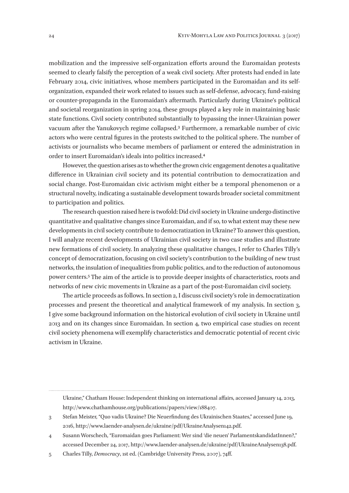mobilization and the impressive self-organization efforts around the Euromaidan protests seemed to clearly falsify the perception of a weak civil society. After protests had ended in late February 2014, civic initiatives, whose members participated in the Euromaidan and its selforganization, expanded their work related to issues such as self-defense, advocacy, fund-raising or counter-propaganda in the Euromaidan's aftermath. Particularly during Ukraine's political and societal reorganization in spring 2014, these groups played a key role in maintaining basic state functions. Civil society contributed substantially to bypassing the inner-Ukrainian power vacuum after the Yanukovych regime collapsed.3 Furthermore, a remarkable number of civic actors who were central figures in the protests switched to the political sphere. The number of activists or journalists who became members of parliament or entered the administration in order to insert Euromaidan's ideals into politics increased.4

However, the question arises as to whether the grown civic engagement denotes a qualitative difference in Ukrainian civil society and its potential contribution to democratization and social change. Post-Euromaidan civic activism might either be a temporal phenomenon or a structural novelty, indicating a sustainable development towards broader societal commitment to participation and politics.

The research question raised here is twofold: Did civil society in Ukraine undergo distinctive quantitative and qualitative changes since Euromaidan, and if so, to what extent may these new developments in civil society contribute to democratization in Ukraine? To answer this question, I will analyze recent developments of Ukrainian civil society in two case studies and illustrate new formations of civil society. In analyzing these qualitative changes, I refer to Charles Tilly's concept of democratization, focusing on civil society's contribution to the building of new trust networks, the insulation of inequalities from public politics, and to the reduction of autonomous power centers.5 The aim of the article is to provide deeper insights of characteristics, roots and networks of new civic movements in Ukraine as a part of the post-Euromaidan civil society.

The article proceeds as follows. In section 2, I discuss civil society's role in democratization processes and present the theoretical and analytical framework of my analysis. In section 3, I give some background information on the historical evolution of civil society in Ukraine until 2013 and on its changes since Euromaidan. In section 4, two empirical case studies on recent civil society phenomena will exemplify characteristics and democratic potential of recent civic activism in Ukraine.

Ukraine," Chatham House: Independent thinking on international affairs, accessed January 14, 2013, http://www.chathamhouse.org/publications/papers/view/188407.

<sup>3</sup> Stefan Meister, "Quo vadis Ukraine? Die Neuerfindung des Ukrainischen Staates," accessed June 19, 2016, http://www.laender-analysen.de/ukraine/pdf/UkraineAnalysen142.pdf.

<sup>4</sup> Susann Worschech, "Euromaidan goes Parliament: Wer sind 'die neuen' ParlamentskandidatInnen?," accessed December 24, 2017, http://www.laender-analysen.de/ukraine/pdf/UkraineAnalysen138.pdf.

<sup>5</sup> Charles Tilly, *Democracy*, 1st ed. (Cambridge University Press, 2007), 74ff.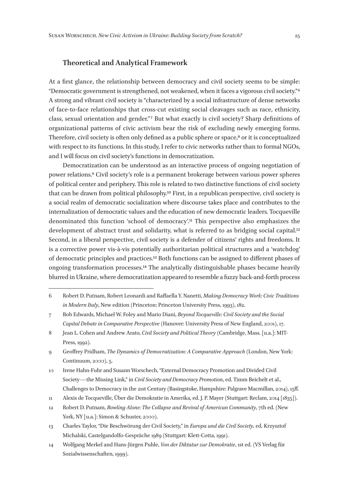### **Theoretical and Analytical Framework**

At a first glance, the relationship between democracy and civil society seems to be simple: "Democratic government is strengthened, not weakened, when it faces a vigorous civil society." 6 A strong and vibrant civil society is "characterized by a social infrastructure of dense networks of face-to-face relationships that cross-cut existing social cleavages such as race, ethnicity, class, sexual orientation and gender." 7 But what exactly is civil society? Sharp definitions of organizational patterns of civic activism bear the risk of excluding newly emerging forms. Therefore, civil society is often only defined as a public sphere or space,<sup>8</sup> or it is conceptualized with respect to its functions. In this study, I refer to civic networks rather than to formal NGOs, and I will focus on civil society's functions in democratization.

Democratization can be understood as an interactive process of ongoing negotiation of power relations.9 Civil society's role is a permanent brokerage between various power spheres of political center and periphery. This role is related to two distinctive functions of civil society that can be drawn from political philosophy.10 First, in a republican perspective, civil society is a social realm of democratic socialization where discourse takes place and contributes to the internalization of democratic values and the education of new democratic leaders. Tocqueville denominated this function 'school of democracy'.11 This perspective also emphasizes the development of abstract trust and solidarity, what is referred to as bridging social capital.<sup>12</sup> Second, in a liberal perspective, civil society is a defender of citizens' rights and freedoms. It is a corrective power vis-à-vis potentially authoritarian political structures and a 'watchdog' of democratic principles and practices.13 Both functions can be assigned to different phases of ongoing transformation processes.14 The analytically distinguishable phases became heavily blurred in Ukraine, where democratization appeared to resemble a fuzzy back-and-forth process

<sup>6</sup> Robert D. Putnam, Robert Leonardi and Raffaella Y. Nanetti, *Making Democracy Work: Civic Traditions in Modern Italy*, New edition (Princeton: Princeton University Press, 1993), 182.

<sup>7</sup> Bob Edwards, Michael W. Foley and Mario Diani, *Beyond Tocqueville: Civil Society and the Social Capital Debate in Comparative Perspective* (Hanover: University Press of New England, 2001), 17.

<sup>8</sup> Jean L. Cohen and Andrew Arato, *Civil Society and Political Theory* (Cambridge, Mass. [u.a.]: MIT-Press, 1992).

<sup>9</sup> Geoffrey Pridham, *The Dynamics of Democratization: A Comparative Approach* (London, New York: Continuum, 2000), 5.

<sup>10</sup> Irene Hahn-Fuhr and Susann Worschech, "External Democracy Promotion and Divided Civil Society—the Missing Link," in *Civil Society and Democracy Promotion*, ed. Timm Beichelt et al., Challenges to Democracy in the 21st Century (Basingstoke, Hampshire: Palgrave Macmillan, 2014), 15ff.

<sup>11</sup> Alexis de Tocqueville, Über die Demokratie in Amerika, ed. J. P. Mayer (Stuttgart: Reclam, 2014 [1835]).

<sup>12</sup> Robert D. Putnam, *Bowling Alone: The Collapse and Revival of American Community*, 7th ed. (New York, NY [u.a.]: Simon & Schuster, 2000).

<sup>13</sup> Charles Taylor, "Die Beschwörung der Civil Society," in *Europa und die Civil Society*, ed. Krzysztof Michalski, Castelgandolfo-Gespräche 1989 (Stuttgart: Klett-Cotta, 1991).

<sup>14</sup> Wolfgang Merkel and Hans-Jürgen Puhle, *Von der Diktatur zur Demokratie*, 1st ed. (VS Verlag für Sozialwissenschaften, 1999).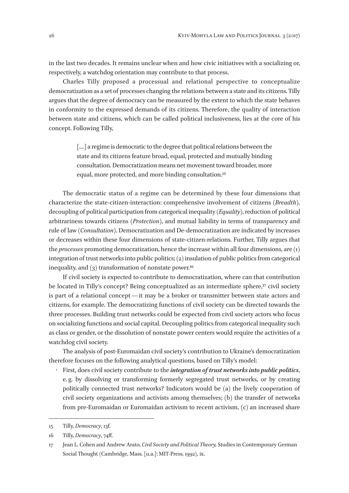in the last two decades. It remains unclear when and how civic initiatives with a socializing or, respectively, a watchdog orientation may contribute to that process.

Charles Tilly proposed a processual and relational perspective to conceptualize democratization as a set of processes changing the relations between a state and its citizens. Tilly argues that the degree of democracy can be measured by the extent to which the state behaves in conformity to the expressed demands of its citizens. Therefore, the quality of interaction between state and citizens, which can be called political inclusiveness, lies at the core of his concept. Following Tilly,

> [...] a regime is democratic to the degree that political relations between the state and its citizens feature broad, equal, protected and mutually binding consultation. Democratization means net movement toward broader, more equal, more protected, and more binding consultation.15

The democratic status of a regime can be determined by these four dimensions that characterize the state-citizen-interaction: comprehensive involvement of citizens (*Breadth*), decoupling of political participation from categorical inequality (*Equality*), reduction of political arbitrariness towards citizens (*Protection*), and mutual liability in terms of transparency and rule of law (*Consultation*). Democratization and De-democratization are indicated by increases or decreases within these four dimensions of state-citizen-relations. Further, Tilly argues that the *processes* promoting democratization, hence the increase within all four dimensions, are (1) integration of trust networks into public politics; (2) insulation of public politics from categorical inequality, and  $(3)$  transformation of nonstate power.<sup>16</sup>

If civil society is expected to contribute to democratization, where can that contribution be located in Tilly's concept? Being conceptualized as an intermediate sphere,<sup>17</sup> civil society is part of a relational concept—it may be a broker or transmitter between state actors and citizens, for example. The democratizing functions of civil society can be directed towards the three processes. Building trust networks could be expected from civil society actors who focus on socializing functions and social capital. Decoupling politics from categorical inequality such as class or gender, or the dissolution of nonstate power centers would require the activities of a watchdog civil society.

The analysis of post-Euromaidan civil society's contribution to Ukraine's democratization therefore focuses on the following analytical questions, based on Tilly's model:

• First, does civil society contribute to the *integration of trust networks into public politics*, e. g. by dissolving or transforming formerly segregated trust networks, or by creating politically connected trust networks? Indicators would be (a) the lively cooperation of civil society organizations and activists among themselves; (b) the transfer of networks from pre-Euromaidan or Euromaidan activism to recent activism, (c) an increased share

<sup>15</sup> Tilly, *Democracy*, 13f.

<sup>16</sup> Tilly, *Democracy*, 74ff.

<sup>17</sup> Jean L. Cohen and Andrew Arato, *Civil Society and Political Theory,* Studies in Contemporary German Social Thought (Cambridge, Mass. [u.a.]: MIT-Press, 1992), ix.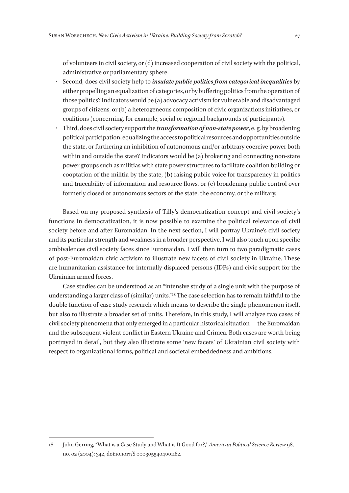of volunteers in civil society, or (d) increased cooperation of civil society with the political, administrative or parliamentary sphere.

- Second, does civil society help to *insulate public politics from categorical inequalities* by either propelling an equalization of categories, or by buffering politics from the operation of those politics? Indicators would be (a) advocacy activism for vulnerable and disadvantaged groups of citizens, or (b) a heterogeneous composition of civic organizations initiatives, or coalitions (concerning, for example, social or regional backgrounds of participants).
- Third, does civil society support the *transformation of non-state power*, e. g. by broadening political participation, equalizing the access to political resources and opportunities outside the state, or furthering an inhibition of autonomous and/or arbitrary coercive power both within and outside the state? Indicators would be (a) brokering and connecting non-state power groups such as militias with state power structures to facilitate coalition building or cooptation of the militia by the state, (b) raising public voice for transparency in politics and traceability of information and resource flows, or (c) broadening public control over formerly closed or autonomous sectors of the state, the economy, or the military.

Based on my proposed synthesis of Tilly's democratization concept and civil society's functions in democratization, it is now possible to examine the political relevance of civil society before and after Euromaidan. In the next section, I will portray Ukraine's civil society and its particular strength and weakness in a broader perspective. I will also touch upon specific ambivalences civil society faces since Euromaidan. I will then turn to two paradigmatic cases of post-Euromaidan civic activism to illustrate new facets of civil society in Ukraine. These are humanitarian assistance for internally displaced persons (IDPs) and civic support for the Ukrainian armed forces.

Case studies can be understood as an "intensive study of a single unit with the purpose of understanding a larger class of (similar) units." 18 The case selection has to remain faithful to the double function of case study research which means to describe the single phenomenon itself, but also to illustrate a broader set of units. Therefore, in this study, I will analyze two cases of civil society phenomena that only emerged in a particular historical situation—the Euromaidan and the subsequent violent conflict in Eastern Ukraine and Crimea. Both cases are worth being portrayed in detail, but they also illustrate some 'new facets' of Ukrainian civil society with respect to organizational forms, political and societal embeddedness and ambitions.

<sup>18</sup> John Gerring, "What is a Case Study and What is It Good for?," *American Political Science Review* 98, no. 02 (2004): 342, doi:10.1017/S 0003055404001182.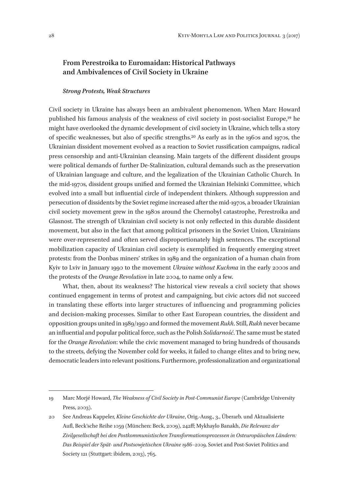## **From Perestroika to Euromaidan: Historical Pathways and Ambivalences of Civil Society in Ukraine**

#### *Strong Protests, Weak Structures*

Civil society in Ukraine has always been an ambivalent phenomenon. When Marc Howard published his famous analysis of the weakness of civil society in post-socialist Europe,19 he might have overlooked the dynamic development of civil society in Ukraine, which tells a story of specific weaknesses, but also of specific strengths.20 As early as in the 1960s and 1970s, the Ukrainian dissident movement evolved as a reaction to Soviet russification campaigns, radical press censorship and anti-Ukrainian cleansing. Main targets of the different dissident groups were political demands of further De-Stalinization, cultural demands such as the preservation of Ukrainian language and culture, and the legalization of the Ukrainian Catholic Church. In the mid‑1970s, dissident groups unified and formed the Ukrainian Helsinki Committee, which evolved into a small but influential circle of independent thinkers. Although suppression and persecution of dissidents by the Soviet regime increased after the mid‑1970s, a broader Ukrainian civil society movement grew in the 1980s around the Chernobyl catastrophe, Perestroika and Glasnost. The strength of Ukrainian civil society is not only reflected in this durable dissident movement, but also in the fact that among political prisoners in the Soviet Union, Ukrainians were over-represented and often served disproportionately high sentences. The exceptional mobilization capacity of Ukrainian civil society is exemplified in frequently emerging street protests: from the Donbas miners' strikes in 1989 and the organization of a human chain from Kyiv to Lviv in January 1990 to the movement *Ukraine without Kuchma* in the early 2000s and the protests of the *Orange Revolution* in late 2004, to name only a few.

What, then, about its weakness? The historical view reveals a civil society that shows continued engagement in terms of protest and campaigning, but civic actors did not succeed in translating these efforts into larger structures of influencing and programming policies and decision-making processes. Similar to other East European countries, the dissident and opposition groups united in 1989/1990 and formed the movement *Rukh*. Still, *Rukh* never became an influential and popular political force, such as the Polish *Solidarność*. The same must be stated for the *Orange Revolution*: while the civic movement managed to bring hundreds of thousands to the streets, defying the November cold for weeks, it failed to change elites and to bring new, democratic leaders into relevant positions. Furthermore, professionalization and organizational

<sup>19</sup> Marc Morjé Howard, *The Weakness of Civil Society in Post-Communist Europe* (Cambridge University Press, 2003).

<sup>20</sup> See Andreas Kappeler, *Kleine Geschichte der Ukraine*, Orig.-Ausg., 3., Überarb. und Aktualisierte Aufl, Beck'sche Reihe 1059 (München: Beck, 2009), 242ff; Mykhaylo Banakh, *Die Relevanz der Zivilgesellschaft bei den Postkommunistischen Transformationsprozessen in Osteuropäischen Ländern: Das Beispiel der Spät- und Postsowjetischen Ukraine 1986–2009,* Soviet and Post-Soviet Politics and Society 121 (Stuttgart: ibidem, 2013), 765.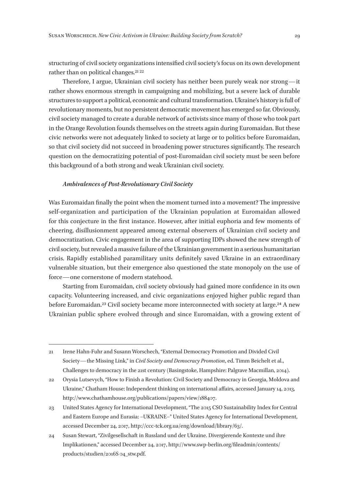structuring of civil society organizations intensified civil society's focus on its own development rather than on political changes.<sup>21</sup><sup>22</sup>

Therefore, I argue, Ukrainian civil society has neither been purely weak nor strong—it rather shows enormous strength in campaigning and mobilizing, but a severe lack of durable structures to support a political, economic and cultural transformation. Ukraine's history is full of revolutionary moments, but no persistent democratic movement has emerged so far. Obviously, civil society managed to create a durable network of activists since many of those who took part in the Orange Revolution founds themselves on the streets again during Euromaidan. But these civic networks were not adequately linked to society at large or to politics before Euromaidan, so that civil society did not succeed in broadening power structures significantly. The research question on the democratizing potential of post-Euromaidan civil society must be seen before this background of a both strong and weak Ukrainian civil society.

#### *Ambivalences of Post-Revolutionary Civil Society*

Was Euromaidan finally the point when the moment turned into a movement? The impressive self-organization and participation of the Ukrainian population at Euromaidan allowed for this conjecture in the first instance. However, after initial euphoria and few moments of cheering, disillusionment appeared among external observers of Ukrainian civil society and democratization. Civic engagement in the area of supporting IDPs showed the new strength of civil society, but revealed a massive failure of the Ukrainian government in a serious humanitarian crisis. Rapidly established paramilitary units definitely saved Ukraine in an extraordinary vulnerable situation, but their emergence also questioned the state monopoly on the use of force—one cornerstone of modern statehood.

Starting from Euromaidan, civil society obviously had gained more confidence in its own capacity. Volunteering increased, and civic organizations enjoyed higher public regard than before Euromaidan.<sup>23</sup> Civil society became more interconnected with society at large.<sup>24</sup> A new Ukrainian public sphere evolved through and since Euromaidan, with a growing extent of

<sup>21</sup> Irene Hahn-Fuhr and Susann Worschech, "External Democracy Promotion and Divided Civil Society—the Missing Link," in *Civil Society and Democracy Promotion*, ed. Timm Beichelt et al., Challenges to democracy in the 21st century (Basingstoke, Hampshire: Palgrave Macmillan, 2014).

<sup>22</sup> Orysia Lutsevych, "How to Finish a Revolution: Civil Society and Democracy in Georgia, Moldova and Ukraine," Chatham House: Independent thinking on international affairs, accessed January 14, 2013, http://www.chathamhouse.org/publications/papers/view/188407.

<sup>23</sup> United States Agency for International Development, "The 2015 CSO Sustainability Index for Central and Eastern Europe and Eurasia: –UKRAINE–" United States Agency for International Development, accessed December 24, 2017, http://ccc-tck.org.ua/eng/download/library/63/.

<sup>24</sup> Susan Stewart, "Zivilgesellschaft in Russland und der Ukraine. Divergierende Kontexte und ihre Implikationen," accessed December 24, 2017, http://www.swp-berlin.org/fileadmin/contents/ products/studien/2016S 04\_stw.pdf.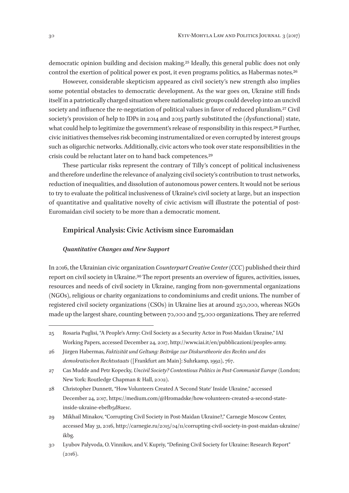democratic opinion building and decision making.25 Ideally, this general public does not only control the exertion of political power ex post, it even programs politics, as Habermas notes.26

However, considerable skepticism appeared as civil society's new strength also implies some potential obstacles to democratic development. As the war goes on, Ukraine still finds itself in a patriotically charged situation where nationalistic groups could develop into an uncivil society and influence the re-negotiation of political values in favor of reduced pluralism.<sup>27</sup> Civil society's provision of help to IDPs in 2014 and 2015 partly substituted the (dysfunctional) state, what could help to legitimize the government's release of responsibility in this respect.<sup>28</sup> Further, civic initiatives themselves risk becoming instrumentalized or even corrupted by interest groups such as oligarchic networks. Additionally, civic actors who took over state responsibilities in the crisis could be reluctant later on to hand back competences.29

These particular risks represent the contrary of Tilly's concept of political inclusiveness and therefore underline the relevance of analyzing civil society's contribution to trust networks, reduction of inequalities, and dissolution of autonomous power centers. It would not be serious to try to evaluate the political inclusiveness of Ukraine's civil society at large, but an inspection of quantitative and qualitative novelty of civic activism will illustrate the potential of post-Euromaidan civil society to be more than a democratic moment.

#### **Empirical Analysis: Civic Activism since Euromaidan**

#### *Quantitative Changes and New Support*

In 2016, the Ukrainian civic organization *Counterpart Creative Center (CCC)* published their third report on civil society in Ukraine.30 The report presents an overview of figures, activities, issues, resources and needs of civil society in Ukraine, ranging from non-governmental organizations (NGOs), religious or charity organizations to condominiums and credit unions. The number of registered civil society organizations (CSOs) in Ukraine lies at around 250,000, whereas NGOs made up the largest share, counting between 70,000 and 75,000 organizations. They are referred

<sup>25</sup> Rosaria Puglisi, "A People's Army: Civil Society as a Security Actor in Post-Maidan Ukraine," IAI Working Papers, accessed December 24, 2017, http://www.iai.it/en/pubblicazioni/peoples-army.

<sup>26</sup> Jürgen Habermas, *Faktizität und Geltung: Beiträge zur Diskurstheorie des Rechts und des demokratischen Rechtsstaats* ([Frankfurt am Main]: Suhrkamp, 1992), 767.

<sup>27</sup> Cas Mudde and Petr Kopecky, *Uncivil Society? Contentious Politics in Post-Communist Europe* (London; New York: Routledge Chapman & Hall, 2002).

<sup>28</sup> Christopher Dunnett, "How Volunteers Created A 'Second State' Inside Ukraine," accessed December 24, 2017, https://medium.com/@Hromadske/how-volunteers-created-a-second-stateinside-ukraine-ebefb5d82e1c.

<sup>29</sup> Mikhail Minakov, "Corrupting Civil Society in Post-Maidan Ukraine?," Carnegie Moscow Center, accessed May 31, 2016, http://carnegie.ru/2015/04/11/corrupting-civil-society-in-post-maidan-ukraine/ ikbg.

<sup>30</sup> Lyubov Palyvoda, O. Vinnikov, and V. Kupriy, "Defining Civil Society for Ukraine: Research Report"  $(2016).$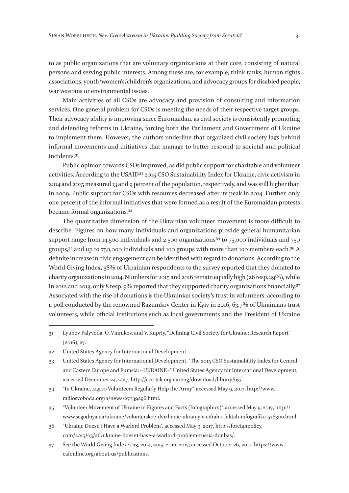to as public organizations that are voluntary organizations at their core, consisting of natural persons and serving public interests. Among these are, for example, think tanks, human rights associations, youth/women's/children's organizations, and advocacy groups for disabled people, war veterans or environmental issues.

Main activities of all CSOs are advocacy and provision of consulting and information services. One general problem for CSOs is meeting the needs of their respective target groups. Their advocacy ability is improving since Euromaidan, as civil society is consistently promoting and defending reforms in Ukraine, forcing both the Parliament and Government of Ukraine to implement them. However, the authors underline that organized civil society lags behind informal movements and initiatives that manage to better respond to societal and political incidents.31

Public opinion towards CSOs improved, as did public support for charitable and volunteer activities. According to the USAID<sup>32</sup> 2015 CSO Sustainability Index for Ukraine, civic activism in 2014 and 2015 measured 13 and 9 percent of the population, respectively, and was still higher than in 2009. Public support for CSOs with resources decreased after its peak in 2014. Further, only one percent of the informal initiatives that were formed as a result of the Euromaidan protests became formal organizations.33

The quantitative dimension of the Ukrainian volunteer movement is more difficult to describe. Figures on how many individuals and organizations provide general humanitarian support range from 14,500 individuals and 2,500 organizations<sup>34</sup> to 75,000 individuals and 750 groups,35 and up to 750,000 individuals and 100 groups with more than 100 members each.36 A definite increase in civic engagement can be identified with regard to donations. According to the World Giving Index, 38% of Ukrainian respondents to the survey reported that they donated to charity organizations in 2014. Numbers for 2015 and 2016 remain equally high (26 resp. 29%), while in 2012 and 2013, only 8 resp. 9% reported that they supported charity organizations financially.<sup>37</sup> Associated with the rise of donations is the Ukrainian society's trust in volunteers: according to a poll conducted by the renowned Razumkov Center in Kyiv in 2016, 63.7% of Ukrainians trust volunteers, while official institutions such as local governments and the President of Ukraine

37 See the World Giving Index 2013, 2014, 2015, 2016, 2017; accessed October 26, 2017, https://www. cafonline.org/about-us/publications.

<sup>31</sup> Lyubov Palyvoda, O. Vinnikov, and V. Kupriy, "Defining Civil Society for Ukraine: Research Report" (2016), 27.

<sup>32</sup> United States Agency for International Development.

<sup>33</sup> United States Agency for International Development, "The 2015 CSO Sustainability Index for Central and Eastern Europe and Eurasia: –UKRAINE–" United States Agency for International Development, accessed December 24, 2017, http://ccc-tck.org.ua/eng/download/library/63/.

<sup>34</sup> "In Ukraine, 14,500 Volunteers Regularly Help the Army", accessed May 9, 2017, http://www. radiosvoboda.org/a/news/27039296.html.

<sup>35</sup> "Volunteer Movement of Ukraine in Figures and Facts (Infographics)", accessed May 9, 2017, http:// www.segodnya.ua/ukraine/volonterskoe-dvizhenie-ukrainy-v-cifrah-i-faktah-infografika‑576300.html.

<sup>36</sup> "Ukraine Doesn't Have a Warlord Problem", accessed May 9, 2017, http://foreignpolicy. com/2015/03/26/ukraine-doesnt-have-a-warlord-problem-russia-donbas/.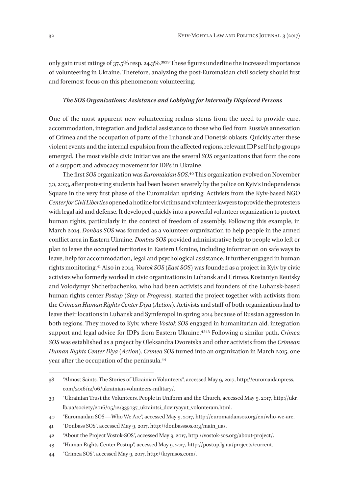only gain trust ratings of 37.5% resp. 24.3%.3839 These figures underline the increased importance of volunteering in Ukraine. Therefore, analyzing the post-Euromaidan civil society should first and foremost focus on this phenomenon: volunteering.

#### *The SOS Organizations: Assistance and Lobbying for Internally Displaced Persons*

One of the most apparent new volunteering realms stems from the need to provide care, accommodation, integration and judicial assistance to those who fled from Russia's annexation of Crimea and the occupation of parts of the Luhansk and Donetsk oblasts. Quickly after these violent events and the internal expulsion from the affected regions, relevant IDP self-help groups emerged. The most visible civic initiatives are the several *SOS* organizations that form the core of a support and advocacy movement for IDPs in Ukraine.

The first *SOS* organization was *Euromaidan SOS*.40 This organization evolved on November 30, 2013, after protesting students had been beaten severely by the police on Kyiv's Independence Square in the very first phase of the Euromaidan uprising. Activists from the Kyiv-based NGO *Center for Civil Liberties* opened a hotline for victims and volunteer lawyers to provide the protesters with legal aid and defense. It developed quickly into a powerful volunteer organization to protect human rights, particularly in the context of freedom of assembly. Following this example, in March 2014, *Donbas SOS* was founded as a volunteer organization to help people in the armed conflict area in Eastern Ukraine. *Donbas SOS* provided administrative help to people who left or plan to leave the occupied territories in Eastern Ukraine, including information on safe ways to leave, help for accommodation, legal and psychological assistance. It further engaged in human rights monitoring.41 Also in 2014, *Vostok SOS (East SOS)* was founded as a project in Kyiv by civic activists who formerly worked in civic organizations in Luhansk and Crimea. Kostantyn Reutsky and Volodymyr Shcherbachenko, who had been activists and founders of the Luhansk-based human rights center *Postup* (*Step* or *Progress*), started the project together with activists from the *Crimean Human Rights Center Diya (Action)*. Activists and staff of both organizations had to leave their locations in Luhansk and Symferopol in spring 2014 because of Russian aggression in both regions. They moved to Kyiv, where *Vostok SOS* engaged in humanitarian aid, integration support and legal advice for IDPs from Eastern Ukraine.4243 Following a similar path, *Crimea SOS* was established as a project by Oleksandra Dvoretska and other activists from the *Crimean Human Rights Center Diya (Action)*. *Crimea SOS* turned into an organization in March 2015, one year after the occupation of the peninsula.44

<sup>38</sup> "Almost Saints. The Stories of Ukrainian Volunteers", accessed May 9, 2017, http://euromaidanpress. com/2016/12/06/ukrainian-volunteers-military/.

<sup>39</sup> "Ukrainian Trust the Volunteers, People in Uniform and the Church, accessed May 9, 2017, http://ukr. lb.ua/society/2016/05/12/335037\_ukraintsi\_doviryayut\_volonteram.html.

<sup>40</sup> "Euromaidan SOS—Who We Are", accessed May 9, 2017, http://euromaidansos.org/en/who-we-are.

<sup>41</sup> "Donbass SOS", accessed May 9, 2017, http://donbasssos.org/main\_ua/.

<sup>42</sup> "About the Project Vostok-SOS", accessed May 9, 2017, http://vostok-sos.org/about-project/.

<sup>43</sup> "Human Rights Center Postup", accessed May 9, 2017, http://postup.lg.ua/projects/current.

<sup>44</sup> "Crimea SOS", accessed May 9, 2017, http://krymsos.com/.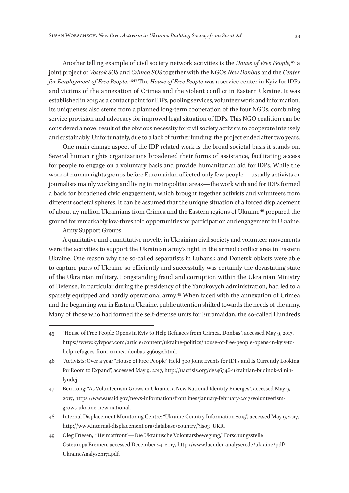Another telling example of civil society network activities is the *House of Free People,*45 a joint project of *Vostok SOS* and *Crimea SOS* together with the NGOs *New Donbas* and the *Center for Employment of Free People*.4647 The *House of Free People* was a service center in Kyiv for IDPs and victims of the annexation of Crimea and the violent conflict in Eastern Ukraine. It was established in 2015 as a contact point for IDPs, pooling services, volunteer work and information. Its uniqueness also stems from a planned long-term cooperation of the four NGOs, combining service provision and advocacy for improved legal situation of IDPs. This NGO coalition can be considered a novel result of the obvious necessity for civil society activists to cooperate intensely and sustainably. Unfortunately, due to a lack of further funding, the project ended after two years.

One main change aspect of the IDP-related work is the broad societal basis it stands on. Several human rights organizations broadened their forms of assistance, facilitating access for people to engage on a voluntary basis and provide humanitarian aid for IDPs. While the work of human rights groups before Euromaidan affected only few people—usually activists or journalists mainly working and living in metropolitan areas—the work with and for IDPs formed a basis for broadened civic engagement, which brought together activists and volunteers from different societal spheres. It can be assumed that the unique situation of a forced displacement of about 1.7 million Ukrainians from Crimea and the Eastern regions of Ukraine<sup>48</sup> prepared the ground for remarkably low-threshold opportunities for participation and engagement in Ukraine.

#### Army Support Groups

A qualitative and quantitative novelty in Ukrainian civil society and volunteer movements were the activities to support the Ukrainian army's fight in the armed conflict area in Eastern Ukraine. One reason why the so-called separatists in Luhansk and Donetsk oblasts were able to capture parts of Ukraine so efficiently and successfully was certainly the devastating state of the Ukrainian military. Longstanding fraud and corruption within the Ukrainian Ministry of Defense, in particular during the presidency of the Yanukovych administration, had led to a sparsely equipped and hardly operational army.49 When faced with the annexation of Crimea and the beginning war in Eastern Ukraine, public attention shifted towards the needs of the army. Many of those who had formed the self-defense units for Euromaidan, the so-called Hundreds

- 48 Internal Displacement Monitoring Centre: "Ukraine Country Information 2015", accessed May 9, 2017, http://www.internal-displacement.org/database/country/?iso3=UKR.
- 49 Oleg Friesen, "'Heimatfront'—Die Ukrainische Volontärsbewegung," Forschungsstelle Osteuropa Bremen, accessed December 24, 2017, http://www.laender-analysen.de/ukraine/pdf/ UkraineAnalysen171.pdf.

<sup>45</sup> "House of Free People Opens in Kyiv to Help Refugees from Crimea, Donbas", accessed May 9, 2017, https://www.kyivpost.com/article/content/ukraine-politics/house-of-free-people-opens-in-kyiv-tohelp-refugees-from-crimea-donbas‑396032.html.

<sup>46</sup> "Activists: Over a year "House of Free People" Held 900 Joint Events for IDPs and Is Currently Looking for Room to Expand", accessed May 9, 2017, http://uacrisis.org/de/46346-ukrainian-budinok-vilnihlyudej.

<sup>47</sup> Ben Long: "As Volunteerism Grows in Ukraine, a New National Identity Emerges", accessed May 9, 2017, https://www.usaid.gov/news-information/frontlines/january-february-2017/volunteerismgrows-ukraine-new-national.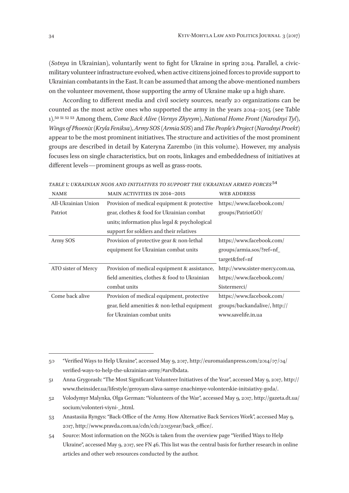(*Sotnya* in Ukrainian), voluntarily went to fight for Ukraine in spring 2014. Parallel, a civicmilitary volunteer infrastructure evolved, when active citizens joined forces to provide support to Ukrainian combatants in the East. It can be assumed that among the above-mentioned numbers on the volunteer movement, those supporting the army of Ukraine make up a high share.

According to different media and civil society sources, nearly 20 organizations can be counted as the most active ones who supported the army in the years 2014–2015 (see Table 1).50 51 52 53 Among them, *Come Back Alive (Vernys Zhyvym)*, *National Home Front (Narodnyi Tyl)*, *Wings of Phoenix (Kryla Feniksa)*, *Army SOS (Armia SOS)* and *The People's Project (Narodnyi Proekt)*  appear to be the most prominent initiatives. The structure and activities of the most prominent groups are described in detail by Kateryna Zarembo (in this volume). However, my analysis focuses less on single characteristics, but on roots, linkages and embeddedness of initiatives at different levels—prominent groups as well as grass-roots.

| <b>NAME</b>         | MAIN ACTIVITIES IN 2014-2015                  | <b>WEB ADDRESS</b>              |
|---------------------|-----------------------------------------------|---------------------------------|
| All-Ukrainian Union | Provision of medical equipment & protective   | https://www.facebook.com/       |
| Patriot             | gear, clothes & food for Ukrainian combat     | groups/PatriotGO/               |
|                     | units; information plus legal & psychological |                                 |
|                     | support for soldiers and their relatives      |                                 |
| Army SOS            | Provision of protective gear & non-lethal     | https://www.facebook.com/       |
|                     | equipment for Ukrainian combat units          | groups/armia.sos/?ref=nf_       |
|                     |                                               | target&fref=nf                  |
| ATO sister of Mercy | Provision of medical equipment & assistance,  | http://www.sister-mercy.com.ua, |
|                     | field amenities, clothes & food to Ukrainian  | https://www.facebook.com/       |
|                     | combat units                                  | Sistermerci/                    |
| Come back alive     | Provision of medical equipment, protective    | https://www.facebook.com/       |
|                     | gear, field amenities & non-lethal equipment  | groups/backandalive/, http://   |
|                     | for Ukrainian combat units                    | www.savelife.in.ua              |

*Table* 1*: Ukrainian NGOS and initiatives to support the Ukrainian Armed Forces*54

<sup>50</sup> "Verified Ways to Help Ukraine", accessed May 9, 2017, http://euromaidanpress.com/2014/07/04/ verified-ways-to-help-the-ukrainian-army/#arvlbdata.

<sup>51</sup> Anna Grygorash: "The Most Significant Volunteer Initiatives of the Year", accessed May 9, 2017, http:// www.theinsider.ua/lifestyle/geroyam-slava-samye-znachimye-volonterskie-initsiativy-goda/.

<sup>52</sup> Volodymyr Malynka, Olga German: "Volunteers of the War", accessed May 9, 2017, http://gazeta.dt.ua/ socium/volonteri-viyni-\_.html.

<sup>53</sup> Anastasiia Ryngys: "Back-Office of the Army. How Alternative Back Services Work", accessed May 9, 2017, http://www.pravda.com.ua/cdn/cd1/2015year/back\_office/.

<sup>54</sup> Source: Most information on the NGOs is taken from the overview page "Verified Ways to Help Ukraine", accessed May 9, 2017, see FN 46. This list was the central basis for further research in online articles and other web resources conducted by the author.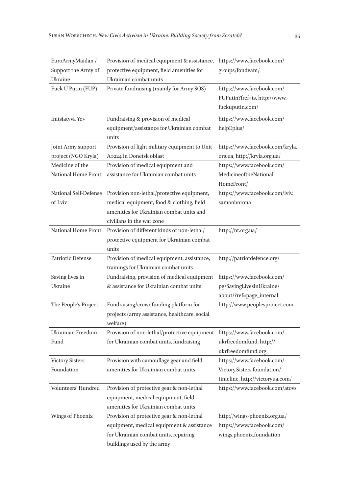| EuroArmyMaidan /<br>Support the Army of<br>Ukraine | Provision of medical equipment & assistance,<br>protective equipment, field amenities for<br>Ukrainian combat units                                              | https://www.facebook.com/<br>groups/fondeam/                                                |
|----------------------------------------------------|------------------------------------------------------------------------------------------------------------------------------------------------------------------|---------------------------------------------------------------------------------------------|
| Fuck U Putin (FUP)                                 | Private fundraising (mainly for Army SOS)                                                                                                                        | https://www.facebook.com/<br>FUPutin?fref=ts, http://www.<br>fuckuputin.com/                |
| Initsiatyva Ye+                                    | Fundraising & provision of medical<br>equipment/assistance for Ukrainian combat<br>units                                                                         | https://www.facebook.com/<br>helpEplus/                                                     |
| Joint Army support<br>project (NGO Kryla)          | Provision of light military equipment to Unit<br>A0224 in Donetsk oblast                                                                                         | https://www.facebook.com/kryla.<br>org.ua, http://kryla.org.ua/                             |
| Medicine of the<br>National Home Front             | Provision of medical equipment and<br>assistance for Ukrainian combat units                                                                                      | https://www.facebook.com/<br>MedicineoftheNational<br>HomeFront/                            |
| National Self-Defense<br>of Lviv                   | Provision non-lethal/protective equipment,<br>medical equipment, food & clothing, field<br>amenities for Ukrainian combat units and<br>civilians in the war zone | https://www.facebook.com/lviv.<br>samooborona                                               |
| National Home Front                                | Provision of different kinds of non-lethal/<br>protective equipment for Ukrainian combat<br>units                                                                | http://nt.org.ua/                                                                           |
| Patriotic Defense                                  | Provision of medical equipment, assistance,<br>trainings for Ukrainian combat units                                                                              | http://patriotdefence.org/                                                                  |
| Saving lives in<br>Ukraine                         | Fundraising, provision of medical equipment<br>& assistance for Ukrainian combat units                                                                           | https://www.facebook.com/<br>pg/SavingLivesinUkraine/<br>about/?ref=page_internal           |
| The People's Project                               | Fundraising/crowdfunding platform for<br>projects (army assistance, healthcare, social<br>welfare)                                                               | http://www.peoplesproject.com                                                               |
| Ukrainian Freedom<br>Fund                          | Provision of non-lethal/protective equipment<br>for Ukrainian combat units, fundraising                                                                          | https://www.facebook.com/<br>ukrfreedomfund, http://<br>ukrfreedomfund.org                  |
| <b>Victory Sisters</b><br>Foundation               | Provision with camouflage gear and field<br>amenities for Ukrainian combat units                                                                                 | https://www.facebook.com/<br>Victory.Sisters.foundation/<br>timeline, http://victoryua.com/ |
| Volunteers' Hundred                                | Provision of protective gear & non-lethal<br>equipment, medical equipment, field<br>amenities for Ukrainian combat units                                         | https://www.facebook.com/atovs                                                              |
| Wings of Phoenix                                   | Provision of protective gear & non-lethal<br>equipment, medical equipment & assistance<br>for Ukrainian combat units, repairing<br>buildings used by the army    | http://wings-phoenix.org.ua/<br>https://www.facebook.com/<br>wings.phoenix.foundation       |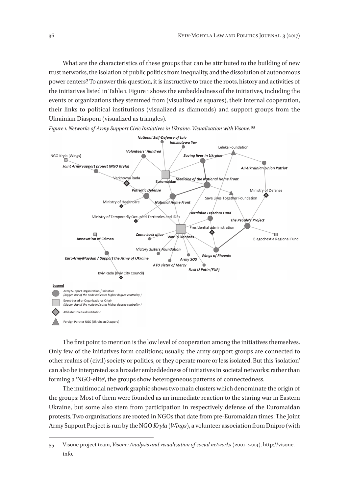What are the characteristics of these groups that can be attributed to the building of new trust networks, the isolation of public politics from inequality, and the dissolution of autonomous power centers? To answer this question, it is instructive to trace the roots, history and activities of the initiatives listed in Table 1. Figure 1 shows the embeddedness of the initiatives, including the events or organizations they stemmed from (visualized as squares), their internal cooperation, their links to political institutions (visualized as diamonds) and support groups from the Ukrainian Diaspora (visualized as triangles).



*Figure 1. Networks of Army Support Civic Initiatives in Ukraine. Visualization with Visone.55*

The first point to mention is the low level of cooperation among the initiatives themselves. Only few of the initiatives form coalitions; usually, the army support groups are connected to other realms of (civil) society or politics, or they operate more or less isolated. But this 'isolation' can also be interpreted as a broader embeddedness of initiatives in societal networks: rather than forming a 'NGO-elite', the groups show heterogeneous patterns of connectedness.

The multimodal network graphic shows two main clusters which denominate the origin of the groups: Most of them were founded as an immediate reaction to the staring war in Eastern Ukraine, but some also stem from participation in respectively defense of the Euromaidan protests. Two organizations are rooted in NGOs that date from pre-Euromaidan times: The Joint Army Support Project is run by the NGO *Kryla (Wings)*, a volunteer association from Dnipro (with

<sup>55</sup> Visone project team, *Visone: Analysis and visualization of social networks* (2001–2014), http://visone. info.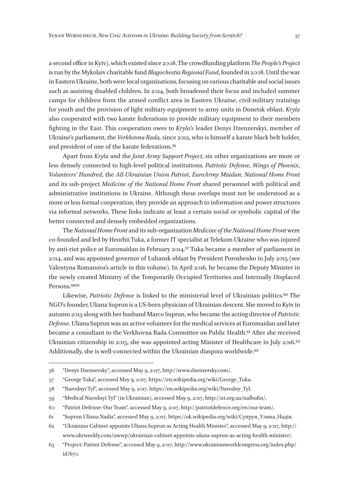a second office in Kyiv), which existed since 2008. The crowdfunding platform *The People's Project* is run by the Mykolaiv charitable fund *Blagochestia Regional Fund*, founded in 2008. Until the war in Eastern Ukraine, both were local organizations, focusing on various charitable and social issues such as assisting disabled children. In 2014, both broadened their focus and included summer camps for children from the armed conflict area in Eastern Ukraine, civil-military trainings for youth and the provision of light military equipment to army units in Donetsk oblast. *Kryla* also cooperated with two karate federations to provide military equipment to their members fighting in the East. This cooperation owes to *Kryla's* leader Denys Dzenzerskyi, member of Ukraine's parliament, the *Verkhovna Rada,* since 2012, who is himself a karate black belt holder, and president of one of the karate federations.56

Apart from *Kryla* and the *Joint Army Support Project*, six other organizations are more or less densely connected to high-level political institutions. *Patriotic Defense*, *Wings of Phoenix*, *Volunteers' Hundred*, the *All-Ukrainian Union Patriot*, *EuroArmy Maidan*, *National Home Front* and its sub-project *Medicine of the National Home Front* shared personnel with political and administrative institutions in Ukraine. Although these overlaps must not be understood as a more or less formal cooperation, they provide an approach to information and power structures via informal networks. These links indicate at least a certain social or symbolic capital of the better connected and densely embedded organizations.

The *National Home Front* and its sub-organization *Medicine of the National Home Front* were co-founded and led by Heorhii Tuka, a former IT specialist at Telekom Ukraine who was injured by anti-riot police at Euromaidan in February 2014.<sup>57</sup> Tuka became a member of parliament in 2014, and was appointed governor of Luhansk oblast by President Poroshenko in July 2015 (see Valentyna Romanova's article in this volume). In April 2016, he became the Deputy Minister in the newly created Ministry of the Temporarily Occupied Territories and Internally Displaced Persons.<sup>5859</sup>

Likewise, *Patriotic Defense* is linked to the ministerial level of Ukrainian politics.60 The NGO's founder, Uliana Suprun is a US-born physician of Ukrainian descent. She moved to Kyiv in autumn 2013 along with her husband Marco Suprun, who became the acting director of *Patriotic Defense*. Uliana Suprun was an active volunteer for the medical services at Euromaidan and later became a consultant to the Verkhovna Rada Committee on Public Health.61 After she received Ukrainian citizenship in 2015, she was appointed acting Minister of Healthcare in July 2016.<sup>62</sup> Additionally, she is well-connected within the Ukrainian diaspora worldwide.<sup>63</sup>

<sup>56</sup> "Denys Dzenzersky", accessed May 9, 2017, http://www.dzenzersky.com/.

<sup>57</sup> "George Tuka", accessed May 9, 2017, https://en.wikipedia.org/wiki/George\_Tuka.

<sup>58</sup> "Narodnyi Tyl", accessed May 9, 2017, https://en.wikipedia.org/wiki/Narodny\_Tyl.

<sup>59</sup> "Medical Narodnyi Tyl" (in Ukrainian), accessed May 9, 2017, http://nt.org.ua/nalbufin/.

<sup>60</sup> "Patriot Defense: Our Team", accessed May 9, 2017, http://patriotdefence.org/en/our-team/.

<sup>61</sup> "Suprun Uliana Nadia", accessed May 9, 2017, https://uk.wikipedia.org/wiki/Супрун\_Уляна\_Надія.

<sup>62</sup> "Ukrainian Cabinet appoints Uliana Suprun as Acting Health Minister", accessed May 9, 2017, http:// www.ukrweekly.com/uwwp/ukrainian-cabinet-appoints-ulana-suprun-as-acting-health-minister/.

<sup>63</sup> "Project: Patriot Defense", accessed May 9, 2017, http://www.ukrainianworldcongress.org/index.php/ id/670.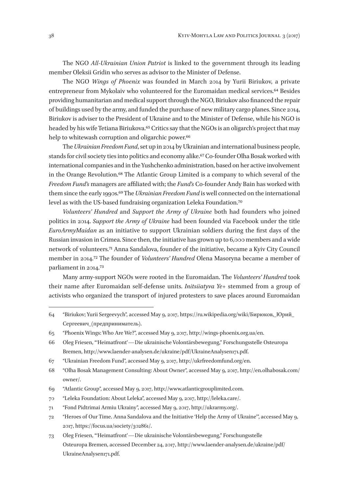The NGO *All-Ukrainian Union Patriot* is linked to the government through its leading member Oleksii Gridin who serves as advisor to the Minister of Defense.

The NGO *Wings of Phoenix* was founded in March 2014 by Yurii Biriukov, a private entrepreneur from Mykolaiv who volunteered for the Euromaidan medical services.<sup>64</sup> Besides providing humanitarian and medical support through the NGO, Biriukov also financed the repair of buildings used by the army, and funded the purchase of new military cargo planes. Since 2014, Biriukov is adviser to the President of Ukraine and to the Minister of Defense, while his NGO is headed by his wife Tetiana Biriukova.<sup>65</sup> Critics say that the NGOs is an oligarch's project that may help to whitewash corruption and oligarchic power.<sup>66</sup>

The *Ukrainian Freedom Fund*, set up in 2014 by Ukrainian and international business people, stands for civil society ties into politics and economy alike.67 Co-founder Olha Bosak worked with international companies and in the Yushchenko administration, based on her active involvement in the Orange Revolution.68 The Atlantic Group Limited is a company to which several of the *Freedom Fund's* managers are affiliated with; the *Fund's* Co-founder Andy Bain has worked with them since the early 1990s.69 The *Ukrainian Freedom Fund* is well connected on the international level as with the US-based fundraising organization Leleka Foundation.70

*Volunteers' Hundred* and *Support the Army of Ukraine* both had founders who joined politics in 2014. *Support the Army of Ukraine* had been founded via Facebook under the title *EuroArmyMaidan* as an initiative to support Ukrainian soldiers during the first days of the Russian invasion in Crimea. Since then, the initiative has grown up to 6,000 members and a wide network of volunteers.71 Anna Sandalova, founder of the initiative, became a Kyiv City Council member in 2014.72 The founder of *Volunteers' Hundred* Olena Masoryna became a member of parliament in 2014.73

Many army-support NGOs were rooted in the Euromaidan. The *Volunteers' Hundred* took their name after Euromaidan self-defense units. *Initsiiatyva Ye+* stemmed from a group of activists who organized the transport of injured protesters to save places around Euromaidan

- 70 "Leleka Foundation: About Leleka", accessed May 9, 2017, http://leleka.care/.
- 71 "Fond Pidtrimai Armiu Ukrainy", accessed May 9, 2017, http://ukrarmy.org/.
- 72 "Heroes of Our Time. Anna Sandalova and the Initiative 'Help the Army of Ukraine'", accessed May 9, 2017, https://focus.ua/society/302861/.
- 73 Oleg Friesen, "'Heimatfront'—Die ukrainische Volontärsbewegung," Forschungsstelle Osteuropa Bremen, accessed December 24, 2017, http://www.laender-analysen.de/ukraine/pdf/ UkraineAnalysen171.pdf.

<sup>64</sup> "Biriukov; Yurii Sergeevych", accessed May 9, 2017, https://ru.wikipedia.org/wiki/Бирюков,\_Юрий\_ Сергеевич\_(предприниматель).

<sup>65</sup> "Phoenix Wings: Who Are We?", accessed May 9, 2017, http://wings-phoenix.org.ua/en.

<sup>66</sup> Oleg Friesen, "'Heimatfront'—Die ukrainische Volontärsbewegung," Forschungsstelle Osteuropa Bremen, http://www.laender-analysen.de/ukraine/pdf/UkraineAnalysen171.pdf.

<sup>67</sup> "Ukrainian Freedom Fund", accessed May 9, 2017, http://ukrfreedomfund.org/en.

<sup>68</sup> "Olha Bosak Management Consulting: About Owner", accessed May 9, 2017, http://en.olhabosak.com/ owner/.

<sup>69</sup> "Atlantic Group", accessed May 9, 2017, http://www.atlanticgrouplimited.com.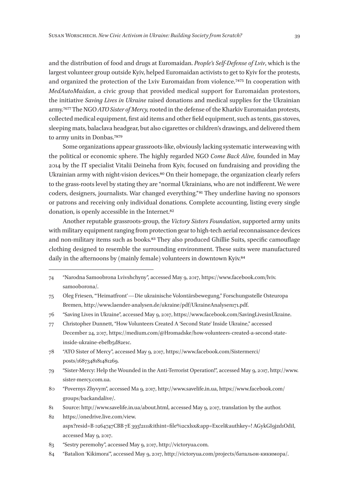and the distribution of food and drugs at Euromaidan. *People's Self-Defense of Lviv*, which is the largest volunteer group outside Kyiv, helped Euromaidan activists to get to Kyiv for the protests, and organized the protection of the Lviv Euromaidan from violence.7475 In cooperation with *MedAutoMaidan*, a civic group that provided medical support for Euromaidan protestors, the initiative *Saving Lives in Ukraine* raised donations and medical supplies for the Ukrainian army.7677 The NGO *ATO Sister of Mercy,* rooted in the defense of the Kharkiv Euromaidan protests, collected medical equipment, first aid items and other field equipment, such as tents, gas stoves, sleeping mats, balaclava headgear, but also cigarettes or children's drawings, and delivered them to army units in Donbas.7879

Some organizations appear grassroots-like, obviously lacking systematic interweaving with the political or economic sphere. The highly regarded NGO *Come Back Alive,* founded in May 2014 by the IT specialist Vitalii Deineha from Kyiv, focused on fundraising and providing the Ukrainian army with night-vision devices.<sup>80</sup> On their homepage, the organization clearly refers to the grass-roots level by stating they are "normal Ukrainians, who are not indifferent. We were coders, designers, journalists. War changed everything." 81 They underline having no sponsors or patrons and receiving only individual donations. Complete accounting, listing every single donation, is openly accessible in the Internet.82

Another reputable grassroots-group, the *Victory Sisters Foundation*, supported army units with military equipment ranging from protection gear to high-tech aerial reconnaissance devices and non-military items such as books.<sup>83</sup> They also produced Ghillie Suits, specific camouflage clothing designed to resemble the surrounding environment. These suits were manufactured daily in the afternoons by (mainly female) volunteers in downtown Kyiv.<sup>84</sup>

- 78 "ATO Sister of Mercy", accessed May 9, 2017, https://www.facebook.com/Sistermerci/ posts/1687348181481269.
- 79 "Sister-Mercy: Help the Wounded in the Anti-Terrorist Operation!", accessed May 9, 2017, http://www. sister-mercy.com.ua.
- 80 "Povernys Zhyvym", accessed Ma 9, 2017, http://www.savelife.in.ua, https://www.facebook.com/ groups/backandalive/.

84 "Batalion 'Kikimora'", accessed May 9, 2017, http://victoryua.com/projects/батальон-кикимора/.

<sup>74</sup> "Narodna Samoobrona Lvivshchyny", accessed May 9, 2017, https://www.facebook.com/lviv. samooborona/.

<sup>75</sup> Oleg Friesen, "'Heimatfront'—Die ukrainische Volontärsbewegung," Forschungsstelle Osteuropa Bremen, http://www.laender-analysen.de/ukraine/pdf/UkraineAnalysen171.pdf.

<sup>76</sup> "Saving Lives in Ukraine", accessed May 9, 2017, https://www.facebook.com/SavingLivesinUkraine.

<sup>77</sup> Christopher Dunnett, "How Volunteers Created A 'Second State' Inside Ukraine," accessed December 24, 2017, https://medium.com/@Hromadske/how-volunteers-created-a-second-stateinside-ukraine-ebefb5d82e1c.

<sup>81</sup> Source: http://www.savelife.in.ua/about.html, accessed May 9, 2017, translation by the author.

<sup>82</sup> https://onedrive.live.com/view. aspx?resid=B 0264747CBB 7E 393!2111&ithint=file%2cxlsx&app=Excel&authkey=! AGykGI9jzd1OdiI, accessed May 9, 2017.

<sup>83</sup> "Sestry peremohy", accessed May 9, 2017, http://victoryua.com.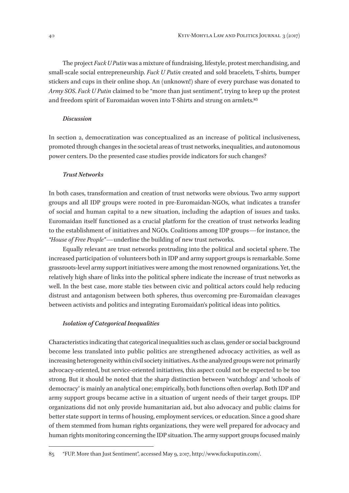The project *Fuck U Putin* was a mixture of fundraising, lifestyle, protest merchandising, and small-scale social entrepreneurship. *Fuck U Putin* created and sold bracelets, T-shirts, bumper stickers and cups in their online shop. An (unknown!) share of every purchase was donated to *Army SOS*. *Fuck U Putin* claimed to be "more than just sentiment", trying to keep up the protest and freedom spirit of Euromaidan woven into T-Shirts and strung on armlets.<sup>85</sup>

#### *Discussion*

In section 2, democratization was conceptualized as an increase of political inclusiveness, promoted through changes in the societal areas of trust networks, inequalities, and autonomous power centers. Do the presented case studies provide indicators for such changes?

#### *Trust Networks*

In both cases, transformation and creation of trust networks were obvious. Two army support groups and all IDP groups were rooted in pre-Euromaidan-NGOs, what indicates a transfer of social and human capital to a new situation, including the adaption of issues and tasks. Euromaidan itself functioned as a crucial platform for the creation of trust networks leading to the establishment of initiatives and NGOs. Coalitions among IDP groups—for instance, the *"House of Free People"*—underline the building of new trust networks.

Equally relevant are trust networks protruding into the political and societal sphere. The increased participation of volunteers both in IDP and army support groups is remarkable. Some grassroots-level army support initiatives were among the most renowned organizations. Yet, the relatively high share of links into the political sphere indicate the increase of trust networks as well. In the best case, more stable ties between civic and political actors could help reducing distrust and antagonism between both spheres, thus overcoming pre-Euromaidan cleavages between activists and politics and integrating Euromaidan's political ideas into politics.

#### *Isolation of Categorical Inequalities*

Characteristics indicating that categorical inequalities such as class, gender or social background become less translated into public politics are strengthened advocacy activities, as well as increasing heterogeneity within civil society initiatives. As the analyzed groups were not primarily advocacy-oriented, but service-oriented initiatives, this aspect could not be expected to be too strong. But it should be noted that the sharp distinction between 'watchdogs' and 'schools of democracy' is mainly an analytical one; empirically, both functions often overlap. Both IDP and army support groups became active in a situation of urgent needs of their target groups. IDP organizations did not only provide humanitarian aid, but also advocacy and public claims for better state support in terms of housing, employment services, or education. Since a good share of them stemmed from human rights organizations, they were well prepared for advocacy and human rights monitoring concerning the IDP situation. The army support groups focused mainly

<sup>85</sup> "FUP. More than Just Sentiment", accessed May 9, 2017, http://www.fuckuputin.com/.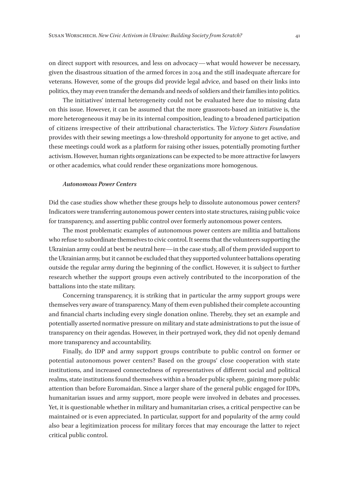on direct support with resources, and less on advocacy—what would however be necessary, given the disastrous situation of the armed forces in 2014 and the still inadequate aftercare for veterans. However, some of the groups did provide legal advice, and based on their links into politics, they may even transfer the demands and needs of soldiers and their families into politics.

The initiatives' internal heterogeneity could not be evaluated here due to missing data on this issue. However, it can be assumed that the more grassroots-based an initiative is, the more heterogeneous it may be in its internal composition, leading to a broadened participation of citizens irrespective of their attributional characteristics. The *Victory Sisters Foundation* provides with their sewing meetings a low-threshold opportunity for anyone to get active, and these meetings could work as a platform for raising other issues, potentially promoting further activism. However, human rights organizations can be expected to be more attractive for lawyers or other academics, what could render these organizations more homogenous.

#### *Autonomous Power Centers*

Did the case studies show whether these groups help to dissolute autonomous power centers? Indicators were transferring autonomous power centers into state structures, raising public voice for transparency, and asserting public control over formerly autonomous power centers.

The most problematic examples of autonomous power centers are militia and battalions who refuse to subordinate themselves to civic control. It seems that the volunteers supporting the Ukrainian army could at best be neutral here—in the case study, all of them provided support to the Ukrainian army, but it cannot be excluded that they supported volunteer battalions operating outside the regular army during the beginning of the conflict. However, it is subject to further research whether the support groups even actively contributed to the incorporation of the battalions into the state military.

Concerning transparency, it is striking that in particular the army support groups were themselves very aware of transparency. Many of them even published their complete accounting and financial charts including every single donation online. Thereby, they set an example and potentially asserted normative pressure on military and state administrations to put the issue of transparency on their agendas. However, in their portrayed work, they did not openly demand more transparency and accountability.

Finally, do IDP and army support groups contribute to public control on former or potential autonomous power centers? Based on the groups' close cooperation with state institutions, and increased connectedness of representatives of different social and political realms, state institutions found themselves within a broader public sphere, gaining more public attention than before Euromaidan. Since a larger share of the general public engaged for IDPs, humanitarian issues and army support, more people were involved in debates and processes. Yet, it is questionable whether in military and humanitarian crises, a critical perspective can be maintained or is even appreciated. In particular, support for and popularity of the army could also bear a legitimization process for military forces that may encourage the latter to reject critical public control.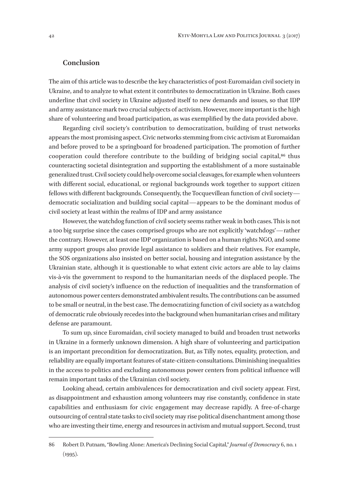## **Conclusion**

The aim of this article was to describe the key characteristics of post-Euromaidan civil society in Ukraine, and to analyze to what extent it contributes to democratization in Ukraine. Both cases underline that civil society in Ukraine adjusted itself to new demands and issues, so that IDP and army assistance mark two crucial subjects of activism. However, more important is the high share of volunteering and broad participation, as was exemplified by the data provided above.

Regarding civil society's contribution to democratization, building of trust networks appears the most promising aspect. Civic networks stemming from civic activism at Euromaidan and before proved to be a springboard for broadened participation. The promotion of further cooperation could therefore contribute to the building of bridging social capital,<sup>86</sup> thus counteracting societal disintegration and supporting the establishment of a more sustainable generalized trust. Civil society could help overcome social cleavages, for example when volunteers with different social, educational, or regional backgrounds work together to support citizen fellows with different backgrounds. Consequently, the Tocquevillean function of civil society democratic socialization and building social capital—appears to be the dominant modus of civil society at least within the realms of IDP and army assistance

However, the watchdog function of civil society seems rather weak in both cases. This is not a too big surprise since the cases comprised groups who are not explicitly 'watchdogs'—rather the contrary. However, at least one IDP organization is based on a human rights NGO, and some army support groups also provide legal assistance to soldiers and their relatives. For example, the SOS organizations also insisted on better social, housing and integration assistance by the Ukrainian state, although it is questionable to what extent civic actors are able to lay claims vis-à-vis the government to respond to the humanitarian needs of the displaced people. The analysis of civil society's influence on the reduction of inequalities and the transformation of autonomous power centers demonstrated ambivalent results. The contributions can be assumed to be small or neutral, in the best case. The democratizing function of civil society as a watchdog of democratic rule obviously recedes into the background when humanitarian crises and military defense are paramount.

To sum up, since Euromaidan, civil society managed to build and broaden trust networks in Ukraine in a formerly unknown dimension. A high share of volunteering and participation is an important precondition for democratization. But, as Tilly notes, equality, protection, and reliability are equally important features of state-citizen-consultations. Diminishing inequalities in the access to politics and excluding autonomous power centers from political influence will remain important tasks of the Ukrainian civil society.

Looking ahead, certain ambivalences for democratization and civil society appear. First, as disappointment and exhaustion among volunteers may rise constantly, confidence in state capabilities and enthusiasm for civic engagement may decrease rapidly. A free-of-charge outsourcing of central state tasks to civil society may rise political disenchantment among those who are investing their time, energy and resources in activism and mutual support. Second, trust

<sup>86</sup> Robert D. Putnam, "Bowling Alone: America's Declining Social Capital," *Journal of Democracy* 6, no. 1  $(1995)$ .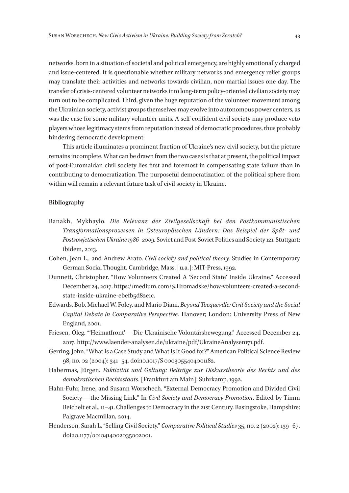networks, born in a situation of societal and political emergency, are highly emotionally charged and issue-centered. It is questionable whether military networks and emergency relief groups may translate their activities and networks towards civilian, non-martial issues one day. The transfer of crisis-centered volunteer networks into long-term policy-oriented civilian society may turn out to be complicated. Third, given the huge reputation of the volunteer movement among the Ukrainian society, activist groups themselves may evolve into autonomous power centers, as was the case for some military volunteer units. A self-confident civil society may produce veto players whose legitimacy stems from reputation instead of democratic procedures, thus probably hindering democratic development.

This article illuminates a prominent fraction of Ukraine's new civil society, but the picture remains incomplete. What can be drawn from the two cases is that at present, the political impact of post-Euromaidan civil society lies first and foremost in compensating state failure than in contributing to democratization. The purposeful democratization of the political sphere from within will remain a relevant future task of civil society in Ukraine.

#### **Bibliography**

- Banakh, Mykhaylo. *Die Relevanz der Zivilgesellschaft bei den Postkommunistischen Transformationsprozessen in Osteuropäischen Ländern: Das Beispiel der Spät- und Postsowjetischen Ukraine 1986–2009.* Soviet and Post-Soviet Politics and Society 121. Stuttgart: ibidem, 2013.
- Cohen, Jean L., and Andrew Arato. *Civil society and political theory.* Studies in Contemporary German Social Thought. Cambridge, Mass. [u.a.]: MIT-Press, 1992.
- Dunnett, Christopher. "How Volunteers Created A 'Second State' Inside Ukraine." Accessed December 24, 2017. https://medium.com/@Hromadske/how-volunteers-created-a-secondstate-inside-ukraine-ebefb5d82e1c.
- Edwards, Bob, Michael W. Foley, and Mario Diani. *Beyond Tocqueville: Civil Society and the Social Capital Debate in Comparative Perspective.* Hanover; London: University Press of New England, 2001.
- Friesen, Oleg. "'Heimatfront'—Die Ukrainische Volontärsbewegung." Accessed December 24, 2017. http://www.laender-analysen.de/ukraine/pdf/UkraineAnalysen171.pdf.
- Gerring, John. "What Is a Case Study and What Is It Good for?" American Political Science Review 98, no. 02 (2004): 341–54. doi:10.1017/S 0003055404001182.
- Habermas, Jürgen. *Faktizität und Geltung: Beiträge zur Diskurstheorie des Rechts und des demokratischen Rechtsstaats*. [Frankfurt am Main]: Suhrkamp, 1992.
- Hahn-Fuhr, Irene, and Susann Worschech. "External Democracy Promotion and Divided Civil Society—the Missing Link." In *Civil Society and Democracy Promotion*. Edited by Timm Beichelt et al., 11–41. Challenges to Democracy in the 21st Century. Basingstoke, Hampshire: Palgrave Macmillan, 2014.
- Henderson, Sarah L. "Selling Civil Society." *Comparative Political Studies* 35, no. 2 (2002): 139–67. doi:10.1177/0010414002035002001.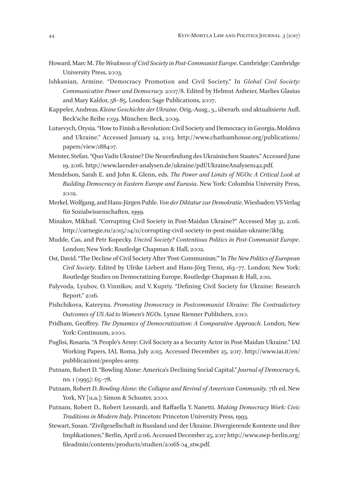- Howard, Marc M. *The Weakness of Civil Society in Post-Communist Europe*. Cambridge: Cambridge University Press, 2003.
- Ishkanian, Armine. "Democracy Promotion and Civil Society." In *Global Civil Society: Communicative Power and Democracy.* 2007/8. Edited by Helmut Anheier, Marlies Glasius and Mary Kaldor, 58–85. London: Sage Publications, 2007.
- Kappeler, Andreas. *Kleine Geschichte der Ukraine*. Orig.-Ausg., 3., überarb. und aktualisierte Aufl. Beck'sche Reihe 1059. München: Beck, 2009.
- Lutsevych, Orysia. "How to Finish a Revolution: Civil Society and Democracy in Georgia, Moldova and Ukraine." Accessed January 14, 2013. http://www.chathamhouse.org/publications/ papers/view/188407.
- Meister, Stefan. "Quo Vadis Ukraine? Die Neuerfindung des Ukrainischen Staates." Accessed June 19, 2016. http://www.laender-analysen.de/ukraine/pdf/UkraineAnalysen142.pdf.
- Mendelson, Sarah E. and John K. Glenn, eds. *The Power and Limits of NGOs: A Critical Look at Building Democracy in Eastern Europe and Eurasia*. New York: Columbia University Press, 2002.
- Merkel, Wolfgang, and Hans-Jürgen Puhle. *Von der Diktatur zur Demokratie*. Wiesbaden: VS Verlag für Sozialwissenschaften, 1999.
- Minakov, Mikhail. "Corrupting Civil Society in Post-Maidan Ukraine?" Accessed May 31, 2016. http://carnegie.ru/2015/04/11/corrupting-civil-society-in-post-maidan-ukraine/ikbg.
- Mudde, Cas, and Petr Kopecky. *Uncivil Society? Contentious Politics in Post-Communist Europe*. London; New York: Routledge Chapman & Hall, 2002.
- Ost, David. "The Decline of Civil Society After 'Post-Communism.'" In *The New Politics of European Civil Society*. Edited by Ulrike Liebert and Hans-Jörg Trenz, 163–77. London; New York: Routledge Studies on Democratizing Europe. Routledge Chapman & Hall, 2011.
- Palyvoda, Lyubov, O. Vinnikov, and V. Kupriy. "Defining Civil Society for Ukraine: Research Report." 2016.
- Pishchikova, Kateryna. *Promoting Democracy in Postcommunist Ukraine: The Contradictory Outcomes of US Aid to Women's NGOs*. Lynne Rienner Publishers, 2010.
- Pridham, Geoffrey. *The Dynamics of Democratization: A Comparative Approach*. London, New York: Continuum, 2000.
- Puglisi, Rosaria. "A People's Army: Civil Society as a Security Actor in Post-Maidan Ukraine." IAI Working Papers, IAI, Roma, July 2015. Accessed December 25, 2017. http://www.iai.it/en/ pubblicazioni/peoples-army.
- Putnam, Robert D. "Bowling Alone: America's Declining Social Capital." *Journal of Democracy* 6, no. 1 (1995): 65–78.
- Putnam, Robert D. *Bowling Alone: the Collapse and Revival of American Community*. 7th ed. New York, NY [u.a.]: Simon & Schuster, 2000.
- Putnam, Robert D., Robert Leonardi, and Raffaella Y. Nanetti. *Making Democracy Work: Civic Traditions in Modern Italy*. Princeton: Princeton University Press, 1993.
- Stewart, Susan. "Zivilgesellschaft in Russland und der Ukraine. Divergierende Kontexte und ihre Implikationen." Berlin, April 2016. Accessed December 25, 2017 http://www.swp-berlin.org/ fileadmin/contents/products/studien/2016S 04\_stw.pdf.